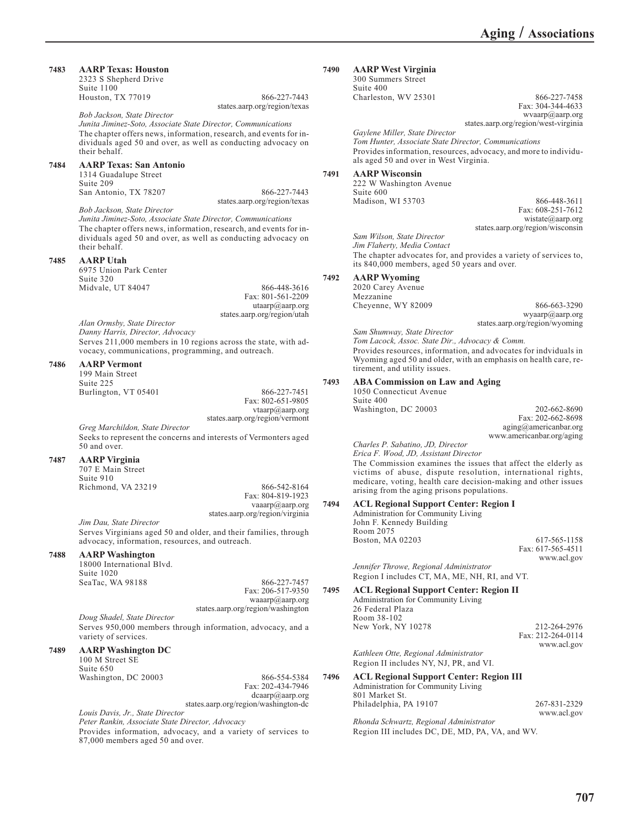| 7483 | <b>AARP Texas: Houston</b>                                                                                                          | 7490                              | <b>AARP</b> West Virginia                                                                                                           |
|------|-------------------------------------------------------------------------------------------------------------------------------------|-----------------------------------|-------------------------------------------------------------------------------------------------------------------------------------|
|      | 2323 S Shepherd Drive<br>Suite 1100                                                                                                 |                                   | 300 Summers Street<br>Suite 400                                                                                                     |
|      | Houston, TX 77019<br>866-227-7443                                                                                                   |                                   | Charleston, WV 25301<br>866-227-7458                                                                                                |
|      | states.aarp.org/region/texas<br><b>Bob Jackson, State Director</b>                                                                  |                                   | Fax: 304-344-4633<br>wvaarp(a)aarp.org                                                                                              |
|      | Junita Jiminez-Soto, Associate State Director, Communications<br>The chapter offers news, information, research, and events for in- |                                   | states.aarp.org/region/west-virginia<br>Gaylene Miller, State Director                                                              |
|      | dividuals aged 50 and over, as well as conducting advocacy on                                                                       |                                   | Tom Hunter, Associate State Director, Communications                                                                                |
|      | their behalf.                                                                                                                       |                                   | Provides information, resources, advocacy, and more to individu-<br>als aged 50 and over in West Virginia.                          |
| 7484 | <b>AARP Texas: San Antonio</b><br>1314 Guadalupe Street                                                                             | 7491                              | <b>AARP Wisconsin</b>                                                                                                               |
|      | Suite 209<br>866-227-7443<br>San Antonio, TX 78207                                                                                  |                                   | 222 W Washington Avenue<br>Suite 600                                                                                                |
|      | states.aarp.org/region/texas<br>Bob Jackson, State Director                                                                         |                                   | Madison, WI 53703<br>866-448-3611<br>Fax: 608-251-7612                                                                              |
|      | Junita Jiminez-Soto, Associate State Director, Communications                                                                       |                                   | wistate@aarp.org                                                                                                                    |
|      | The chapter offers news, information, research, and events for in-<br>dividuals aged 50 and over, as well as conducting advocacy on |                                   | states.aarp.org/region/wisconsin<br>Sam Wilson, State Director                                                                      |
|      | their behalf.                                                                                                                       |                                   | Jim Flaherty, Media Contact<br>The chapter advocates for, and provides a variety of services to,                                    |
| 7485 | <b>AARP</b> Utah<br>6975 Union Park Center                                                                                          |                                   | its 840,000 members, aged 50 years and over.                                                                                        |
|      | Suite 320                                                                                                                           | 7492                              | <b>AARP</b> Wyoming                                                                                                                 |
|      | 866-448-3616<br>Midvale, UT 84047<br>Fax: 801-561-2209                                                                              |                                   | 2020 Carey Avenue<br>Mezzanine                                                                                                      |
|      | utaarp(a)aarp.org<br>states.aarp.org/region/utah                                                                                    |                                   | Cheyenne, WY 82009<br>866-663-3290<br>$wyaarp(a) \text{aarp.org}$                                                                   |
|      | Alan Ormsby, State Director                                                                                                         |                                   | states.aarp.org/region/wyoming                                                                                                      |
|      | Danny Harris, Director, Advocacy<br>Serves 211,000 members in 10 regions across the state, with ad-                                 |                                   | Sam Shumway, State Director<br>Tom Lacock, Assoc. State Dir., Advocacy & Comm.                                                      |
|      | vocacy, communications, programming, and outreach.                                                                                  |                                   | Provides resources, information, and advocates for indviduals in<br>Wyoming aged 50 and older, with an emphasis on health care, re- |
| 7486 | <b>AARP</b> Vermont<br>199 Main Street                                                                                              |                                   | tirement, and utility issues.                                                                                                       |
|      | Suite 225                                                                                                                           | 7493                              | <b>ABA Commission on Law and Aging</b>                                                                                              |
|      | Burlington, VT 05401<br>866-227-7451<br>Fax: 802-651-9805                                                                           |                                   | 1050 Connecticut Avenue<br>Suite 400                                                                                                |
|      | $v \tan p(a)$ aarp.org<br>states.aarp.org/region/vermont                                                                            |                                   | Washington, DC 20003<br>202-662-8690<br>Fax: 202-662-8698                                                                           |
|      | Greg Marchildon, State Director                                                                                                     |                                   | aging@americanbar.org                                                                                                               |
|      | Seeks to represent the concerns and interests of Vermonters aged<br>50 and over.                                                    | Charles P. Sabatino, JD, Director | www.americanbar.org/aging                                                                                                           |
| 7487 | <b>AARP</b> Virginia                                                                                                                |                                   | Erica F. Wood, JD, Assistant Director<br>The Commission examines the issues that affect the elderly as                              |
|      | 707 E Main Street<br>Suite 910                                                                                                      |                                   | victims of abuse, dispute resolution, international rights,                                                                         |
|      | Richmond, VA 23219<br>866-542-8164<br>Fax: 804-819-1923                                                                             |                                   | medicare, voting, health care decision-making and other issues<br>arising from the aging prisons populations.                       |
|      | vaaarp $(a)$ aarp.org                                                                                                               | 7494                              | <b>ACL Regional Support Center: Region I</b>                                                                                        |
|      | states.aarp.org/region/virginia<br>Jim Dau, State Director                                                                          |                                   | Administration for Community Living<br>John F. Kennedy Building                                                                     |
|      | Serves Virginians aged 50 and older, and their families, through<br>advocacy, information, resources, and outreach.                 |                                   | Room 2075<br>Boston, MA 02203<br>617-565-1158                                                                                       |
| 7488 | <b>AARP</b> Washington                                                                                                              |                                   | Fax: 617-565-4511                                                                                                                   |
|      | 18000 International Blvd.                                                                                                           |                                   | www.acl.gov<br>Jennifer Throwe, Regional Administrator                                                                              |
|      | Suite 1020<br>866-227-7457<br>SeaTac, WA 98188                                                                                      |                                   | Region I includes CT, MA, ME, NH, RI, and VT.                                                                                       |
|      | Fax: 206-517-9350<br>waaarp $(a)$ aarp.org                                                                                          | 7495                              | <b>ACL Regional Support Center: Region II</b><br>Administration for Community Living                                                |
|      | states.aarp.org/region/washington                                                                                                   |                                   | 26 Federal Plaza                                                                                                                    |
|      | Doug Shadel, State Director<br>Serves 950,000 members through information, advocacy, and a                                          |                                   | Room 38-102<br>New York, NY 10278<br>212-264-2976                                                                                   |
|      | variety of services.                                                                                                                |                                   | Fax: 212-264-0114<br>www.acl.gov                                                                                                    |
| 7489 | <b>AARP</b> Washington DC<br>100 M Street SE                                                                                        |                                   | Kathleen Otte, Regional Administrator                                                                                               |
|      | Suite 650                                                                                                                           |                                   | Region II includes NY, NJ, PR, and VI.                                                                                              |
|      | Washington, DC 20003<br>866-554-5384<br>Fax: 202-434-7946                                                                           | 7496                              | <b>ACL Regional Support Center: Region III</b><br>Administration for Community Living                                               |
|      | deaarp(a) aarp.org<br>states.aarp.org/region/washington-dc                                                                          |                                   | 801 Market St.<br>Philadelphia, PA 19107<br>267-831-2329                                                                            |
|      | Louis Davis, Jr., State Director                                                                                                    |                                   | www.acl.gov                                                                                                                         |
|      | Peter Rankin, Associate State Director, Advocacy<br>Provides information, advocacy, and a variety of services to                    |                                   | Rhonda Schwartz, Regional Administrator<br>Region III includes DC, DE, MD, PA, VA, and WV.                                          |
|      | 87,000 members aged 50 and over.                                                                                                    |                                   |                                                                                                                                     |
|      |                                                                                                                                     |                                   |                                                                                                                                     |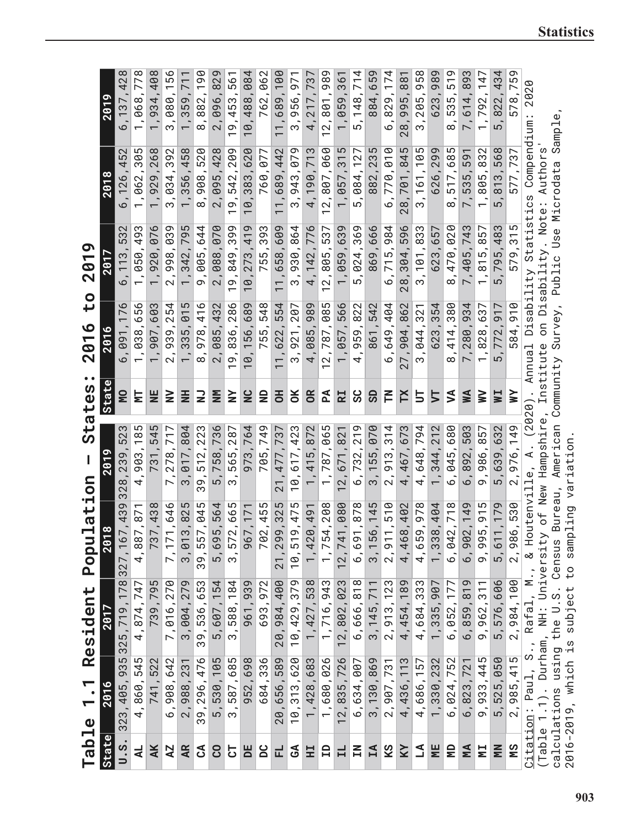| Q<br>958<br>989<br>578.759<br>659<br>174<br>893<br>434<br>147<br>57<br>$\frac{8}{8}$<br>792,<br>822,<br>829<br>205<br>614<br>884<br>995<br>535<br>623<br>$\overline{1}$<br>5<br>م<br>$\infty$<br>$\infty$<br>ო<br>$\mathbf 2$<br>235<br>$\theta$ 10<br>845<br>105<br>299<br>685<br>832<br>568<br>737<br>591<br>701,<br>813,<br>577.<br>770<br>805<br>882<br>161<br>535<br>626<br>517<br>م<br>28<br>$\infty$<br>5<br>$\infty$<br>$\overline{\phantom{0}}$<br>$\overline{\phantom{0}}$<br>984<br>579,315<br>666<br>က<br>020<br>596<br>743<br>815,857<br>795,483<br>657<br>$\overline{3}$<br>405,<br>869.<br>715<br>304<br>470<br>101<br>623<br>$\overline{\phantom{a}}^{\phantom{a} \flat}$<br>$\circ$<br>$\infty$<br>5<br>$\infty$<br>$\infty$<br>$\overline{\phantom{0}}$<br>$\mathbf 1$<br>404<br>380<br>910<br>542<br>934<br>637<br>917<br>862<br>354<br>32<br>828,<br>584,<br>772,<br>904<br><b>044</b><br>280<br>649<br>414<br>861<br>623<br>$\overline{a}$<br>Γ.<br>م<br>$\infty$<br>5<br>ო<br>$\overline{\phantom{0}}$<br>$\sim$<br>F<br><b>GS</b><br>≶<br>УW<br>$\geq$<br>ř<br>≩<br>ΜI<br>5<br>ゟ<br>314<br>639,632<br>878<br>794<br>680<br>2,976,149<br>673<br>212<br>503<br>857<br>467,<br>986,<br>892<br>155<br>913<br>648<br>344<br>045<br>$\overline{6}$<br>5<br>$\infty$<br>$\sim$<br>4<br>4<br>$\circ$<br>$\circ$<br>$\overline{\phantom{0}}$<br>ø<br>$\infty$<br>∞<br>ပ<br>ro<br>Ø<br>4<br>Ō<br>Ō<br>$\sim$<br>$\overline{40}$<br>$\frac{\Theta}{4}$<br>2,986,53<br>$\frac{4}{3}$<br>5,611,17<br>$\frac{4}{1}$<br>50<br>51<br>9,995,91<br>$\overline{ }$<br>902,<br>4,468,<br>156,<br>4,659,<br>338<br>6, 042<br>2,911<br>$\overline{6}$<br>$\overline{3}$<br>$\overline{\phantom{0}}$<br>2,984,100<br>4,454,189<br>4,684,333<br>Ō<br>5,576,606<br>2,913,123<br><b>666</b><br>6,052,177<br>9,962,311<br>3, 145, 711<br>, 81<br>335<br>,859 | 2020<br>ium:<br>Compend<br>Authors<br>Statistics<br>Note:<br>÷.<br>on Disability<br>lity<br>Annual Disabi<br>Institute<br>$(2020)$ .<br>New Hampshire<br>nville, A.<br>& Houter<br>$\overline{+}$<br>NH: University<br>Rafal, M., |
|----------------------------------------------------------------------------------------------------------------------------------------------------------------------------------------------------------------------------------------------------------------------------------------------------------------------------------------------------------------------------------------------------------------------------------------------------------------------------------------------------------------------------------------------------------------------------------------------------------------------------------------------------------------------------------------------------------------------------------------------------------------------------------------------------------------------------------------------------------------------------------------------------------------------------------------------------------------------------------------------------------------------------------------------------------------------------------------------------------------------------------------------------------------------------------------------------------------------------------------------------------------------------------------------------------------------------------------------------------------------------------------------------------------------------------------------------------------------------------------------------------------------------------------------------------------------------------------------------------------------------------------------------------------------------------------------------------------------------------------------------------------------------------------------------------------------------------------------------------|-----------------------------------------------------------------------------------------------------------------------------------------------------------------------------------------------------------------------------------|
|                                                                                                                                                                                                                                                                                                                                                                                                                                                                                                                                                                                                                                                                                                                                                                                                                                                                                                                                                                                                                                                                                                                                                                                                                                                                                                                                                                                                                                                                                                                                                                                                                                                                                                                                                                                                                                                          |                                                                                                                                                                                                                                   |
|                                                                                                                                                                                                                                                                                                                                                                                                                                                                                                                                                                                                                                                                                                                                                                                                                                                                                                                                                                                                                                                                                                                                                                                                                                                                                                                                                                                                                                                                                                                                                                                                                                                                                                                                                                                                                                                          |                                                                                                                                                                                                                                   |
|                                                                                                                                                                                                                                                                                                                                                                                                                                                                                                                                                                                                                                                                                                                                                                                                                                                                                                                                                                                                                                                                                                                                                                                                                                                                                                                                                                                                                                                                                                                                                                                                                                                                                                                                                                                                                                                          |                                                                                                                                                                                                                                   |
|                                                                                                                                                                                                                                                                                                                                                                                                                                                                                                                                                                                                                                                                                                                                                                                                                                                                                                                                                                                                                                                                                                                                                                                                                                                                                                                                                                                                                                                                                                                                                                                                                                                                                                                                                                                                                                                          |                                                                                                                                                                                                                                   |
|                                                                                                                                                                                                                                                                                                                                                                                                                                                                                                                                                                                                                                                                                                                                                                                                                                                                                                                                                                                                                                                                                                                                                                                                                                                                                                                                                                                                                                                                                                                                                                                                                                                                                                                                                                                                                                                          |                                                                                                                                                                                                                                   |
|                                                                                                                                                                                                                                                                                                                                                                                                                                                                                                                                                                                                                                                                                                                                                                                                                                                                                                                                                                                                                                                                                                                                                                                                                                                                                                                                                                                                                                                                                                                                                                                                                                                                                                                                                                                                                                                          |                                                                                                                                                                                                                                   |

**Statistics**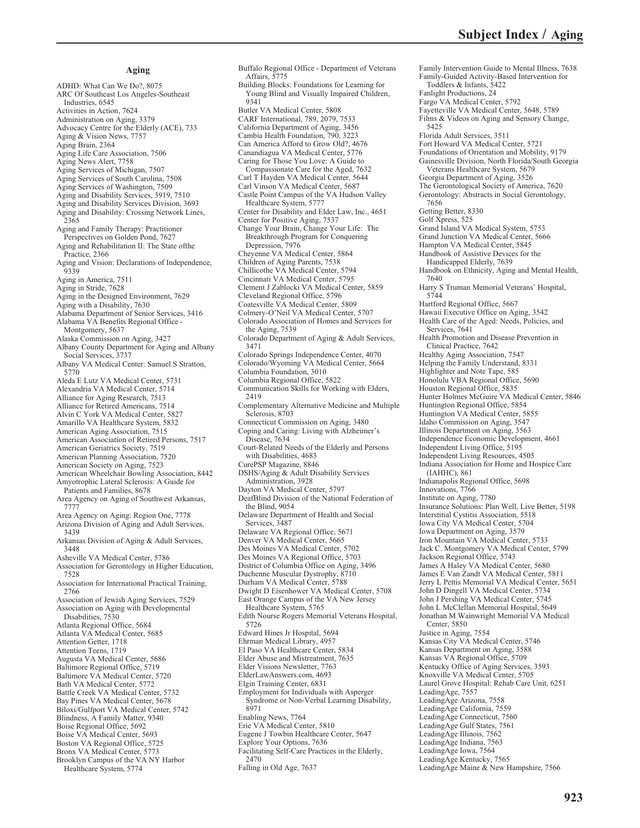# **Subject Index / Aging**

rey House

ublishine<sup>sing</sup> ADHD: What Can We Do?, 8075 ARC Of Southeast Los Angeles-Southeast Industries, 6545 Activities in Action, 7624 Administration on Aging, 3379 Advocacy Centre for the Elderly (ACE), 733 Aging & Vision News, 7757 Aging Brain, 2364 Aging Life Care Association, 7506 Aging News Alert, 7758 Aging Services of Michigan, 7507 Aging Services of South Carolina, 7508 Aging Services of Washington, 7509 Aging and Disability Services, 3919, 7510 Aging and Disability Services Division, 3693 Aging and Disability: Crossing Network Lines, 2365 Aging and Family Therapy: Practitioner Perspectives on Golden Pond, 7627 Aging and Rehabilitation II: The State ofthe Practice, 2366 Aging and Vision: Declarations of Independence, 9339 Aging in America, 7511 Aging in Stride, 7628 Aging in the Designed Environment, 7629 Aging with a Disability, 7630 Alabama Department of Senior Services, 3416 Alabama VA Benefits Regional Office - Montgomery, 5637 Alaska Commission on Aging, 3427 Albany County Department for Aging and Albany Social Services, 3737 Albany VA Medical Center: Samuel S Stratton, 5770 Aleda E Lutz VA Medical Center, 5731 Alexandria VA Medical Center, 5714 Alliance for Aging Research, 7513 Alliance for Retired Americans, 7514 Alvin C York VA Medical Center, 5827 Amarillo VA Healthcare System, 5832 American Aging Association, 7515 American Association of Retired Persons, 7517 American Geriatrics Society, 7519 American Planning Association, 7520 American Society on Aging, 7523 American Wheelchair Bowling Association, 8442 Amyotrophic Lateral Sclerosis: A Guide for Patients and Families, 8678 Area Agency on Aging of Southwest Arkansas, 7777 Area Agency on Aging: Region One, 7778 Arizona Division of Aging and Adult Services, 3439 Arkansas Division of Aging & Adult Services, 3448 Asheville VA Medical Center, 5786 Association for Gerontology in Higher Education, 7528 Association for International Practical Training, 2766 Association of Jewish Aging Services, 7529 Association on Aging with Developmental Disabilities, 7530 Atlanta Regional Office, 5684 Atlanta VA Medical Center, 5685 Attention Getter, 1718 Attention Teens, 1719 Augusta VA Medical Center, 5686 Baltimore Regional Office, 5719 Baltimore VA Medical Center, 5720 Bath VA Medical Center, 5772 Battle Creek VA Medical Center, 5732 Bay Pines VA Medical Center, 5678 Biloxi/Gulfport VA Medical Center, 5742 Blindness, A Family Matter, 9340 Boise Regional Office, 5692 Boise VA Medical Center, 5693 Boston VA Regional Office, 5725 Bronx VA Medical Center, 5773 Brooklyn Campus of the VA NY Harbor Healthcare System, 5774

Buffalo Regional Office - Department of Veterans Affairs, 5775 Building Blocks: Foundations for Learning for Young Blind and Visually Impaired Children, 9341 Butler VA Medical Center, 5808 CARF International, 789, 2079, 7533 California Department of Aging, 3456 Cambia Health Foundation, 790, 3223 Can America Afford to Grow Old?, 4676 Canandiagua VA Medical Center, 5776 Caring for Those You Love: A Guide to Compassionate Care for the Aged, 7632 Carl T Hayden VA Medical Center, 5644 Carl Vinson VA Medical Center, 5687 Castle Point Campus of the VA Hudson Valley Healthcare System, 5777 Center for Disability and Elder Law, Inc., 4651 Center for Positive Aging, 7537 Change Your Brain, Change Your Life: The Breakthrough Program for Conquering Depression, 7976 Cheyenne VA Medical Center, 5864 Children of Aging Parents, 7538 Chillicothe VA Medical Center, 5794 Cincinnati VA Medical Center, 5795 Clement J Zablocki VA Medical Center, 5859 Cleveland Regional Office, 5796 Coatesville VA Medical Center, 5809 Colmery-O'Neil VA Medical Center, 5707 Colorado Association of Homes and Services for the Aging, 7539 Colorado Department of Aging & Adult Services, 3471 Colorado Springs Independence Center, 4070 Colorado/Wyoming VA Medical Center, 5664 Columbia Foundation, 3010 Columbia Regional Office, 5822 Communication Skills for Working with Elders, 2419 Complementary Alternative Medicine and Multiple Sclerosis, 8703 Connecticut Commission on Aging, 3480 Coping and Caring: Living with Alzheimer's Disease, 7634 Court-Related Needs of the Elderly and Persons with Disabilities, 4683 CurePSP Magazine, 8846 DSHS/Aging & Adult Disability Services Administration, 3928 Dayton VA Medical Center, 5797 DeafBlind Division of the National Federation of the Blind, 9054 Delaware Department of Health and Social Services, 3487 Delaware VA Regional Office, 5671 Denver VA Medical Center, 5665 Des Moines VA Medical Center, 5702 Des Moines VA Regional Office, 5703 District of Columbia Office on Aging, 3496 Duchenne Muscular Dystrophy, 8710 Durham VA Medical Center, 5788 Dwight D Eisenhower VA Medical Center, 5708 East Orange Campus of the VA New Jersey Healthcare System, 5765 Edith Nourse Rogers Memorial Veterans Hospital, 5726 Edward Hines Jr Hospital, 5694 Ehrman Medical Library, 4957 El Paso VA Healthcare Center, 5834 Elder Abuse and Mistreatment, 7635 Elder Visions Newsletter, 7763 ElderLawAnswers.com, 4693 Elgin Training Center, 6831 Employment for Individuals with Asperger Syndrome or Non-Verbal Learning Disability, 8971 Enabling News, 7764 Erie VA Medical Center, 5810 Eugene J Towbin Healthcare Center, 5647 Explore Your Options, 7636 Facilitating Self-Care Practices in the Elderly, 2470 Falling in Old Age, 7637

Family Intervention Guide to Mental Illness, 7638 Family-Guided Activity-Based Intervention for Toddlers & Infants, 5422 Fanlight Productions, 24 Fargo VA Medical Center, 5792 Fayetteville VA Medical Center, 5648, 5789 Films & Videos on Aging and Sensory Change, 5425 Florida Adult Services, 3511 Fort Howard VA Medical Center, 5721 Foundations of Orientation and Mobility, 9179 Gainesville Division, North Florida/South Georgia Veterans Healthcare System, 5679 Georgia Department of Aging, 3526 The Gerontological Society of America, 7620 Gerontology: Abstracts in Social Gerontology, 7656 Getting Better, 8330 Golf Xpress, 525 Grand Island VA Medical System, 5753 Grand Junction VA Medical Center, 5666 Hampton VA Medical Center, 5845 Handbook of Assistive Devices for the Handicapped Elderly, 7639 Handbook on Ethnicity, Aging and Mental Health, 7640 Harry S Truman Memorial Veterans' Hospital, 5744 Hartford Regional Office, 5667 Hawaii Executive Office on Aging, 3542 Health Care of the Aged: Needs, Policies, and Services, 7641 Health Promotion and Disease Prevention in Clinical Practice, 7642 Healthy Aging Association, 7547 Helping the Family Understand, 8331 Highlighter and Note Tape, 585 Honolulu VBA Regional Office, 5690 Houston Regional Office, 5835 Hunter Holmes McGuire VA Medical Center, 5846 Huntington Regional Office, 5854 Huntington VA Medical Center, 5855 Idaho Commission on Aging, 3547 Illinois Department on Aging, 3563 Independence Economic Development, 4661 Independent Living Office, 5195 Independent Living Resources, 4505 Indiana Association for Home and Hospice Care (IAHHC), 861 Indianapolis Regional Office, 5698 Innovations, 7766 Institute on Aging, 7780 Insurance Solutions: Plan Well, Live Better, 5198 Interstitial Cystitis Association, 5518 Iowa City VA Medical Center, 5704 Iowa Department on Aging, 3579 Iron Mountain VA Medical Center, 5733 Jack C. Montgomery VA Medical Center, 5799 Jackson Regional Office, 5743 James A Haley VA Medical Center, 5680 James E Van Zandt VA Medical Center, 5811 Jerry L Pettis Memorial VA Medical Center, 5651 John D Dingell VA Medical Center, 5734 John J Pershing VA Medical Center, 5745 John L McClellan Memorial Hospital, 5649 Jonathan M Wainwright Memorial VA Medical Center, 5850 Justice in Aging, 7554 Kansas City VA Medical Center, 5746 Kansas Department on Aging, 3588 Kansas VA Regional Office, 5709 Kentucky Office of Aging Services, 3593 Knoxville VA Medical Center, 5705 Laurel Grove Hospital: Rehab Care Unit, 6251 LeadingAge, 7557 LeadingAge Arizona, 7558 LeadingAge California, 7559 LeadingAge Connecticut, 7560 LeadingAge Gulf States, 7561 LeadingAge Illinois, 7562 LeadingAge Indiana, 7563 LeadingAge Iowa, 7564 LeadingAge Kentucky, 7565 LeadingAge Maine & New Hampshire, 7566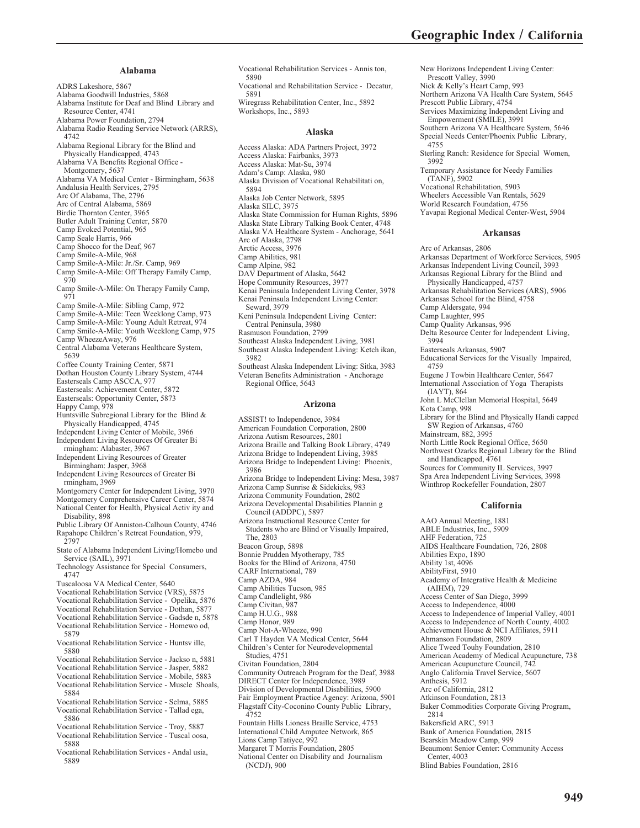# rey House

**Alabama** ADRS Lakeshore, 5867 Alabama Goodwill Industries, 5868 Alabama Institute for Deaf and Blind Library and Resource Center, 4741 Alabama Power Foundation, 2794 Alabama Radio Reading Service Network (ARRS), 4742 Alabama Regional Library for the Blind and Physically Handicapped, 4743 Alabama VA Benefits Regional Office - Montgomery, 5637 Alabama VA Medical Center - Birmingham, 5638 Andalusia Health Services, 2795 Arc Of Alabama, The, 2796 Arc of Central Alabama, 5869 Birdie Thornton Center, 3965 Butler Adult Training Center, 5870 Camp Evoked Potential, 965 Camp Seale Harris, 966 Camp Shocco for the Deaf, 967 Camp Smile-A-Mile, 968 Camp Smile-A-Mile: Jr./Sr. Camp, 969 Camp Smile-A-Mile: Off Therapy Family Camp, 970 Camp Smile-A-Mile: On Therapy Family Camp, 971 Camp Smile-A-Mile: Sibling Camp, 972 Camp Smile-A-Mile: Teen Weeklong Camp, 973 Camp Smile-A-Mile: Young Adult Retreat, 974 Camp Smile-A-Mile: Youth Weeklong Camp, 975 Camp WheezeAway, 976 Central Alabama Veterans Healthcare System, 5639 Coffee County Training Center, 5871 Dothan Houston County Library System, 4744 Easterseals Camp ASCCA, 977 Easterseals: Achievement Center, 5872 Easterseals: Opportunity Center, 5873 Happy Camp, 978 Huntsville Subregional Library for the Blind & Physically Handicapped, 4745 Independent Living Center of Mobile, 3966 Independent Living Resources Of Greater Bi rmingham: Alabaster, 3967 Independent Living Resources of Greater Birmingham: Jasper, 3968 Independent Living Resources of Greater Bi rmingham, 3969 Montgomery Center for Independent Living, 3970 Montgomery Comprehensive Career Center, 5874 National Center for Health, Physical Activ ity and Disability, 898 Public Library Of Anniston-Calhoun County, 4746 Rapahope Children's Retreat Foundation, 979, 2797 State of Alabama Independent Living/Homebo und Service (SAIL), 3971 Technology Assistance for Special Consumers, 4747 Tuscaloosa VA Medical Center, 5640 Vocational Rehabilitation Service (VRS), 5875 Vocational Rehabilitation Service - Opelika, 5876 Vocational Rehabilitation Service - Dothan, 5877 Vocational Rehabilitation Service - Gadsde n, 5878 Vocational Rehabilitation Service - Homewo od, 5879 Vocational Rehabilitation Service - Huntsv ille, 5880 Vocational Rehabilitation Service - Jackso n, 5881 Vocational Rehabilitation Service - Jasper, 5882 Vocational Rehabilitation Service - Mobile, 5883 Vocational Rehabilitation Service - Muscle Shoals, 5884 Vocational Rehabilitation Service - Selma, 5885 Vocational Rehabilitation Service - Tallad ega, 5886

- Vocational Rehabilitation Service Troy, 5887 Vocational Rehabilitation Service - Tuscal oosa, 5888
- Vocational Rehabilitation Services Andal usia, 5889
- Vocational Rehabilitation Services Annis ton, 5890
- Vocational and Rehabilitation Service Decatur, 5891

Wiregrass Rehabilitation Center, Inc., 5892 Workshops, Inc., 5893

#### **Alaska**

- Access Alaska: ADA Partners Project, 3972 Access Alaska: Fairbanks, 3973 Access Alaska: Mat-Su, 3974 Adam's Camp: Alaska, 980
- Alaska Division of Vocational Rehabilitati on,
- 5894
- Alaska Job Center Network, 5895
- Alaska SILC, 3975
- Alaska State Commission for Human Rights, 5896
- Alaska State Library Talking Book Center, 4748
- Alaska VA Healthcare System Anchorage, 5641
- Arc of Alaska, 2798
- Arctic Access, 3976
- Camp Abilities, 981
- Camp Alpine, 982
- DAV Department of Alaska, 5642
- Hope Community Resources, 3977
- Kenai Peninsula Independent Living Center, 3978 Kenai Peninsula Independent Living Center:
- Seward, 3979 Keni Peninsula Independent Living Center: Central Peninsula, 3980
- Rasmuson Foundation, 2799
- Southeast Alaska Independent Living, 3981
- Southeast Alaska Independent Living: Ketch ikan, 3982
- Southeast Alaska Independent Living: Sitka, 3983 Veteran Benefits Administration - Anchorage Regional Office, 5643

### **Arizona**

- ASSIST! to Independence, 3984
- American Foundation Corporation, 2800
- Arizona Autism Resources, 2801
- Arizona Braille and Talking Book Library, 4749
- Arizona Bridge to Independent Living, 3985
- Arizona Bridge to Independent Living: Phoenix,
- 3986
- Arizona Bridge to Independent Living: Mesa, 3987
- Arizona Camp Sunrise & Sidekicks, 983
- Arizona Community Foundation, 2802
- Arizona Developmental Disabilities Plannin g Council (ADDPC), 5897
- Arizona Instructional Resource Center for Students who are Blind or Visually Impaired,
- The, 2803
- Beacon Group, 5898
- Bonnie Prudden Myotherapy, 785 Books for the Blind of Arizona, 4750
- 
- CARF International, 789
- Camp AZDA, 984
- Camp Abilities Tucson, 985
- Camp Candlelight, 986
- Camp Civitan, 987
- Camp H.U.G., 988
- Camp Honor, 989
- Camp Not-A-Wheeze, 990
- Carl T Hayden VA Medical Center, 5644
- Children's Center for Neurodevelopmental
- Studies, 4751
- Civitan Foundation, 2804 Community Outreach Program for the Deaf, 3988 DIRECT Center for Independence, 3989 Division of Developmental Disabilities, 5900 Fair Employment Practice Agency: Arizona, 5901 Flagstaff City-Coconino County Public Library,
- 4752 Fountain Hills Lioness Braille Service, 4753
- International Child Amputee Network, 865 Lions Camp Tatiyee, 992
- Margaret T Morris Foundation, 2805
- National Center on Disability and Journalism (NCDJ), 900
- New Horizons Independent Living Center:
- Prescott Valley, 3990 Nick & Kelly's Heart Camp, 993
- Northern Arizona VA Health Care System, 5645
- Prescott Public Library, 4754
- Services Maximizing Independent Living and Empowerment (SMILE), 3991
- Southern Arizona VA Healthcare System, 5646 Special Needs Center/Phoenix Public Library,
	- 4755
- Sterling Ranch: Residence for Special Women, 3992
- Temporary Assistance for Needy Families
- (TANF), 5902
- Vocational Rehabilitation, 5903 Wheelers Accessible Van Rentals, 5629
- World Research Foundation, 4756
- Yavapai Regional Medical Center-West, 5904

#### **Arkansas**

- Arc of Arkansas, 2806
- Arkansas Department of Workforce Services, 5905 Arkansas Independent Living Council, 3993
- Arkansas Regional Library for the Blind and
- Physically Handicapped, 4757
- Arkansas Rehabilitation Services (ARS), 5906
- Arkansas School for the Blind, 4758
- Camp Aldersgate, 994
- Camp Laughter, 995
- Camp Quality Arkansas, 996
- Delta Resource Center for Independent Living, 3994
- Easterseals Arkansas, 5907
- Educational Services for the Visually Impaired, 4759
- Eugene J Towbin Healthcare Center, 5647 International Association of Yoga Therapists
- (IAYT), 864 John L McClellan Memorial Hospital, 5649
- Kota Camp, 998
- Library for the Blind and Physically Handi capped SW Region of Arkansas, 4760

Mainstream, 882, 3995

- North Little Rock Regional Office, 5650
- Northwest Ozarks Regional Library for the Blind and Handicapped, 4761
- Sources for Community IL Services, 3997
- Spa Area Independent Living Services, 3998
- Winthrop Rockefeller Foundation, 2807

## **California**

AAO Annual Meeting, 1881 ABLE Industries, Inc., 5909 AHF Federation, 725 AIDS Healthcare Foundation, 726, 2808 Abilities Expo, 1890 Ability 1st, 4096 AbilityFirst, 5910 Academy of Integrative Health & Medicine (AIHM), 729 Access Center of San Diego, 3999 Access to Independence, 4000 Access to Independence of Imperial Valley, 4001 Access to Independence of North County, 4002 Achievement House & NCI Affiliates, 5911 Ahmanson Foundation, 2809 Alice Tweed Touhy Foundation, 2810 American Academy of Medical Acupuncture, 738 American Acupuncture Council, 742 Anglo California Travel Service, 5607 Anthesis, 5912 Arc of California, 2812 Atkinson Foundation, 2813 Baker Commodities Corporate Giving Program, 2814 Bakersfield ARC, 5913 Bank of America Foundation, 2815 Bearskin Meadow Camp, 999 Beaumont Senior Center: Community Access Center, 4003 Blind Babies Foundation, 2816

**949**